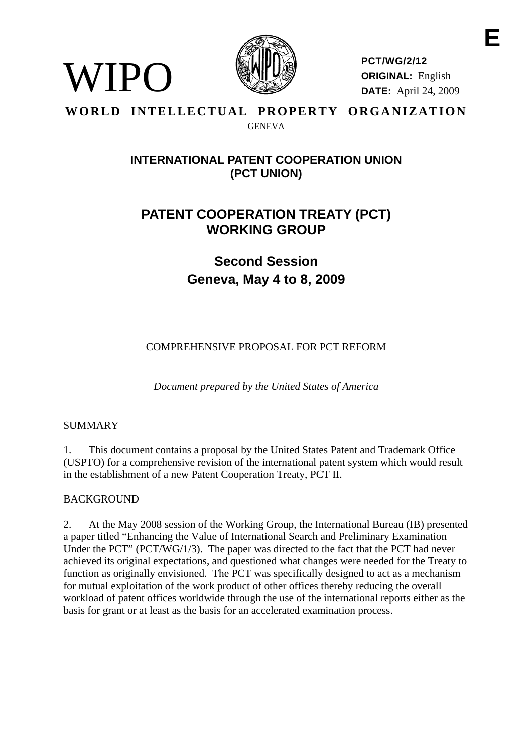

**PCT/WG/2/12 ORIGINAL:** English **DATE:** April 24, 2009

### **WORLD INTELLECTUAL PROPERTY ORGANIZATION GENEVA**

## **INTERNATIONAL PATENT COOPERATION UNION (PCT UNION)**

# **PATENT COOPERATION TREATY (PCT) WORKING GROUP**

**Second Session Geneva, May 4 to 8, 2009** 

COMPREHENSIVE PROPOSAL FOR PCT REFORM

*Document prepared by the United States of America* 

## SUMMARY

WIPO

1. This document contains a proposal by the United States Patent and Trademark Office (USPTO) for a comprehensive revision of the international patent system which would result in the establishment of a new Patent Cooperation Treaty, PCT II.

## BACKGROUND

2. At the May 2008 session of the Working Group, the International Bureau (IB) presented a paper titled "Enhancing the Value of International Search and Preliminary Examination Under the PCT" (PCT/WG/1/3). The paper was directed to the fact that the PCT had never achieved its original expectations, and questioned what changes were needed for the Treaty to function as originally envisioned. The PCT was specifically designed to act as a mechanism for mutual exploitation of the work product of other offices thereby reducing the overall workload of patent offices worldwide through the use of the international reports either as the basis for grant or at least as the basis for an accelerated examination process.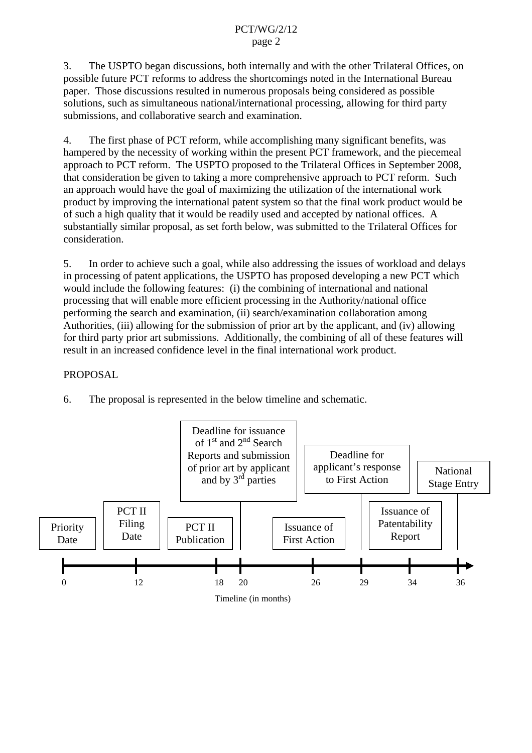#### PCT/WG/2/12 page 2

3. The USPTO began discussions, both internally and with the other Trilateral Offices, on possible future PCT reforms to address the shortcomings noted in the International Bureau paper. Those discussions resulted in numerous proposals being considered as possible solutions, such as simultaneous national/international processing, allowing for third party submissions, and collaborative search and examination.

4. The first phase of PCT reform, while accomplishing many significant benefits, was hampered by the necessity of working within the present PCT framework, and the piecemeal approach to PCT reform. The USPTO proposed to the Trilateral Offices in September 2008, that consideration be given to taking a more comprehensive approach to PCT reform. Such an approach would have the goal of maximizing the utilization of the international work product by improving the international patent system so that the final work product would be of such a high quality that it would be readily used and accepted by national offices. A substantially similar proposal, as set forth below, was submitted to the Trilateral Offices for consideration.

5. In order to achieve such a goal, while also addressing the issues of workload and delays in processing of patent applications, the USPTO has proposed developing a new PCT which would include the following features: (i) the combining of international and national processing that will enable more efficient processing in the Authority/national office performing the search and examination, (ii) search/examination collaboration among Authorities, (iii) allowing for the submission of prior art by the applicant, and (iv) allowing for third party prior art submissions. Additionally, the combining of all of these features will result in an increased confidence level in the final international work product.

## PROPOSAL

6. The proposal is represented in the below timeline and schematic.

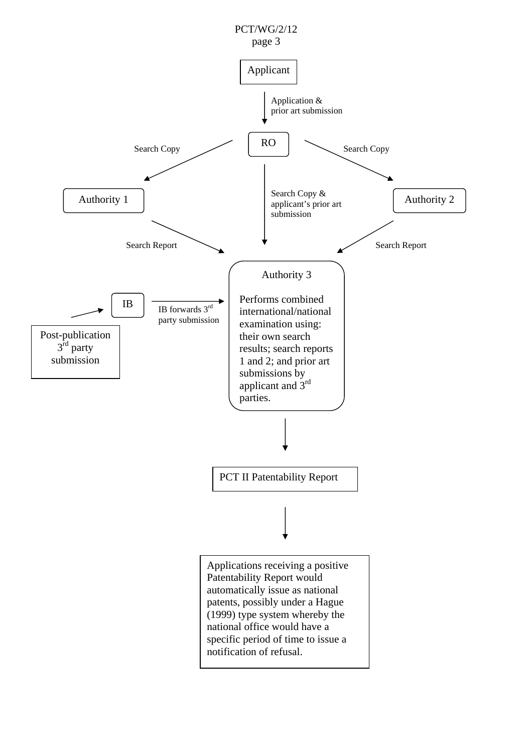